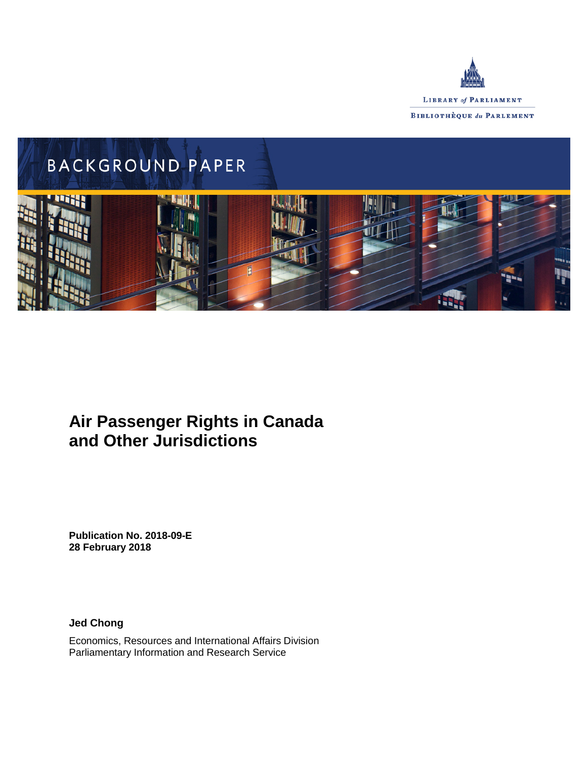



# **Air Passenger Rights in Canada and Other Jurisdictions**

**Publication No. 2018-09-E 28 February 2018**

**Jed Chong**

Economics, Resources and International Affairs Division Parliamentary Information and Research Service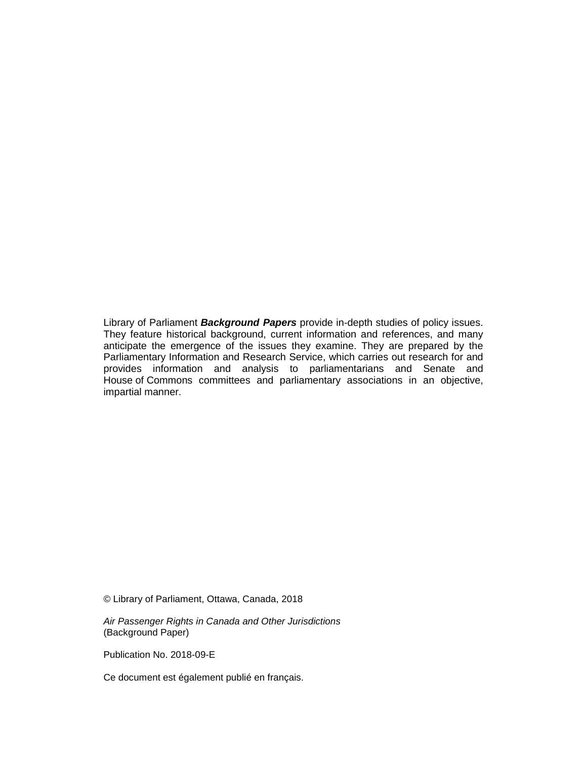Library of Parliament *Background Papers* provide in-depth studies of policy issues. They feature historical background, current information and references, and many anticipate the emergence of the issues they examine. They are prepared by the Parliamentary Information and Research Service, which carries out research for and provides information and analysis to parliamentarians and Senate and House of Commons committees and parliamentary associations in an objective, impartial manner.

© Library of Parliament, Ottawa, Canada, 2018

*Air Passenger Rights in Canada and Other Jurisdictions* (Background Paper)

Publication No. 2018-09-E

Ce document est également publié en français.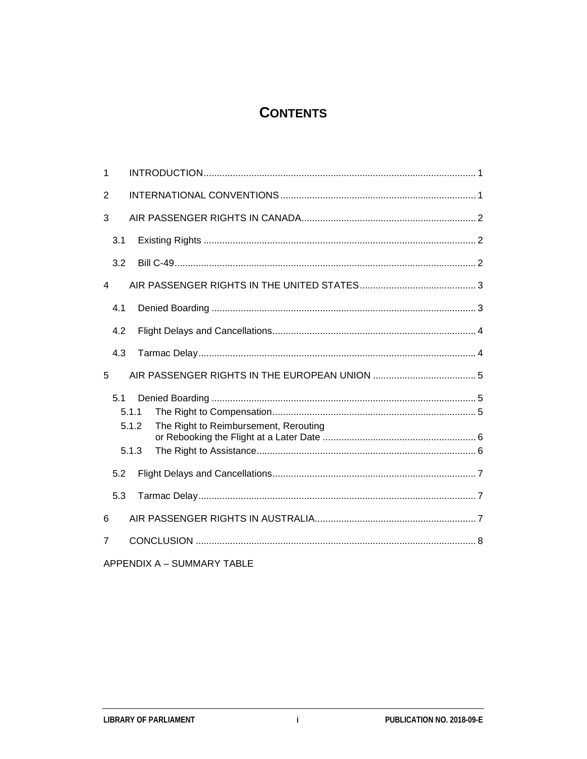## **CONTENTS**

| 1   |                                                         |  |
|-----|---------------------------------------------------------|--|
| 2   |                                                         |  |
| 3   |                                                         |  |
| 3.1 |                                                         |  |
| 3.2 |                                                         |  |
| 4   |                                                         |  |
| 4.1 |                                                         |  |
| 4.2 |                                                         |  |
| 4.3 |                                                         |  |
|     |                                                         |  |
| 5   |                                                         |  |
| 5.1 | 5.1.1<br>5.1.2<br>The Right to Reimbursement, Rerouting |  |
|     | 5.1.3                                                   |  |
| 5.2 |                                                         |  |
| 5.3 |                                                         |  |
| 6   |                                                         |  |
| 7   |                                                         |  |

APPENDIX A - SUMMARY TABLE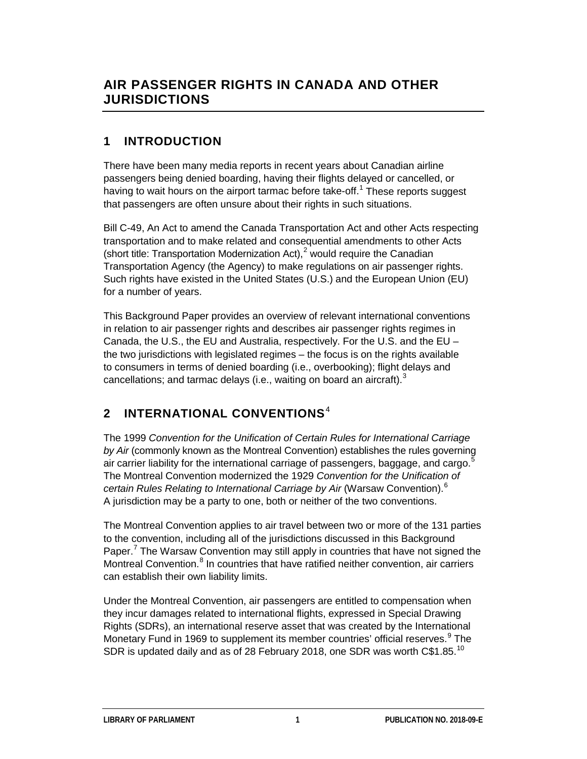### **1 INTRODUCTION**

There have been many media reports in recent years about Canadian airline passengers being denied boarding, having their flights delayed or cancelled, or having to wait hours on the airport tarmac before take-off.<sup>[1](#page-11-0)</sup> These reports suggest that passengers are often unsure about their rights in such situations.

Bill C-49, An Act to amend the Canada Transportation Act and other Acts respecting transportation and to make related and consequential amendments to other Acts (short title: Transportation Modernization Act), $2^{2}$  $2^{2}$  would require the Canadian Transportation Agency (the Agency) to make regulations on air passenger rights. Such rights have existed in the United States (U.S.) and the European Union (EU) for a number of years.

This Background Paper provides an overview of relevant international conventions in relation to air passenger rights and describes air passenger rights regimes in Canada, the U.S., the EU and Australia, respectively. For the U.S. and the EU – the two jurisdictions with legislated regimes – the focus is on the rights available to consumers in terms of denied boarding (i.e., overbooking); flight delays and cancellations; and tarmac delays (i.e., waiting on board an aircraft). $^3$  $^3$ 

## **2 INTERNATIONAL CONVENTIONS**[4](#page-12-2)

The 1999 *Convention for the Unification of Certain Rules for International Carriage by Air* (commonly known as the Montreal Convention) establishes the rules governing air carrier liability for the international carriage of passengers, baggage, and cargo.<sup>[5](#page-12-3)</sup> The Montreal Convention modernized the 1929 *Convention for the Unification of certain Rules Relating to International Carriage by Air* (Warsaw Convention).[6](#page-12-4) A jurisdiction may be a party to one, both or neither of the two conventions.

The Montreal Convention applies to air travel between two or more of the 131 parties to the convention, including all of the jurisdictions discussed in this Background Paper.<sup>[7](#page-12-5)</sup> The Warsaw Convention may still apply in countries that have not signed the Montreal Convention.<sup>[8](#page-12-6)</sup> In countries that have ratified neither convention, air carriers can establish their own liability limits.

Under the Montreal Convention, air passengers are entitled to compensation when they incur damages related to international flights, expressed in Special Drawing Rights (SDRs), an international reserve asset that was created by the International Monetary Fund in 1[9](#page-12-7)69 to supplement its member countries' official reserves.<sup>9</sup> The SDR is updated daily and as of 28 February 2018, one SDR was worth C\$1.85.<sup>[10](#page-12-8)</sup>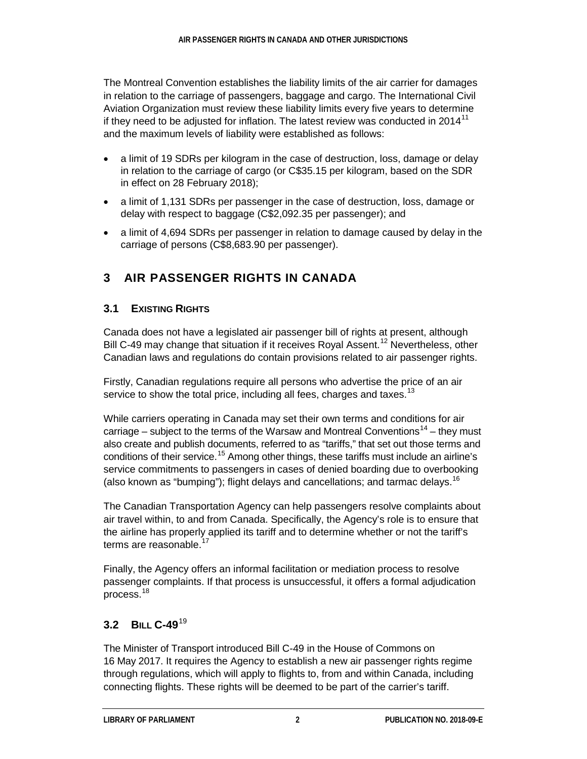The Montreal Convention establishes the liability limits of the air carrier for damages in relation to the carriage of passengers, baggage and cargo. The International Civil Aviation Organization must review these liability limits every five years to determine if they need to be adjusted for inflation. The latest review was conducted in 2014 $11$ and the maximum levels of liability were established as follows:

- a limit of 19 SDRs per kilogram in the case of destruction, loss, damage or delay in relation to the carriage of cargo (or C\$35.15 per kilogram, based on the SDR in effect on 28 February 2018);
- a limit of 1,131 SDRs per passenger in the case of destruction, loss, damage or delay with respect to baggage (C\$2,092.35 per passenger); and
- a limit of 4,694 SDRs per passenger in relation to damage caused by delay in the carriage of persons (C\$8,683.90 per passenger).

### **3 AIR PASSENGER RIGHTS IN CANADA**

#### **3.1 EXISTING RIGHTS**

Canada does not have a legislated air passenger bill of rights at present, although Bill C-49 may change that situation if it receives Royal Assent.<sup>[12](#page-12-10)</sup> Nevertheless, other Canadian laws and regulations do contain provisions related to air passenger rights.

Firstly, Canadian regulations require all persons who advertise the price of an air service to show the total price, including all fees, charges and taxes.<sup>[13](#page-12-11)</sup>

While carriers operating in Canada may set their own terms and conditions for air carriage – subject to the terms of the Warsaw and Montreal Conventions<sup>[14](#page-12-12)</sup> – they must also create and publish documents, referred to as "tariffs," that set out those terms and conditions of their service.<sup>[15](#page-12-13)</sup> Among other things, these tariffs must include an airline's service commitments to passengers in cases of denied boarding due to overbooking (also known as "bumping"); flight delays and cancellations; and tarmac delays.<sup>[16](#page-12-14)</sup>

The Canadian Transportation Agency can help passengers resolve complaints about air travel within, to and from Canada. Specifically, the Agency's role is to ensure that the airline has properly applied its tariff and to determine whether or not the tariff's terms are reasonable.<sup>[17](#page-12-15)</sup>

Finally, the Agency offers an informal facilitation or mediation process to resolve passenger complaints. If that process is unsuccessful, it offers a formal adjudication process.[18](#page-13-0)

### **3.2 BILL C-49**[19](#page-13-1)

The Minister of Transport introduced Bill C-49 in the House of Commons on 16 May 2017. It requires the Agency to establish a new air passenger rights regime through regulations, which will apply to flights to, from and within Canada, including connecting flights. These rights will be deemed to be part of the carrier's tariff.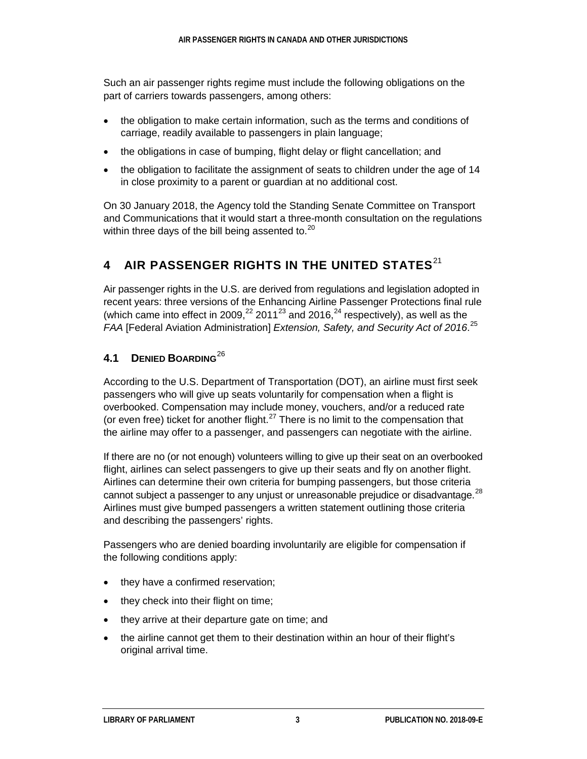Such an air passenger rights regime must include the following obligations on the part of carriers towards passengers, among others:

- the obligation to make certain information, such as the terms and conditions of carriage, readily available to passengers in plain language;
- the obligations in case of bumping, flight delay or flight cancellation; and
- the obligation to facilitate the assignment of seats to children under the age of 14 in close proximity to a parent or guardian at no additional cost.

On 30 January 2018, the Agency told the Standing Senate Committee on Transport and Communications that it would start a three-month consultation on the regulations within three days of the bill being assented to. $20$ 

## **4 AIR PASSENGER RIGHTS IN THE UNITED STATES**[21](#page-13-3)

Air passenger rights in the U.S. are derived from regulations and legislation adopted in recent years: three versions of the Enhancing Airline Passenger Protections final rule (which came into effect in 2009,<sup>[22](#page-13-4)</sup> 2011<sup>[23](#page-13-5)</sup> and 2016,<sup>[24](#page-13-6)</sup> respectively), as well as the *FAA* [Federal Aviation Administration] *Extension, Safety, and Security Act of 2016*. [25](#page-13-7)

### **4.1 DENIED BOARDING**[26](#page-13-8)

According to the U.S. Department of Transportation (DOT), an airline must first seek passengers who will give up seats voluntarily for compensation when a flight is overbooked. Compensation may include money, vouchers, and/or a reduced rate (or even free) ticket for another flight. $27$  There is no limit to the compensation that the airline may offer to a passenger, and passengers can negotiate with the airline.

If there are no (or not enough) volunteers willing to give up their seat on an overbooked flight, airlines can select passengers to give up their seats and fly on another flight. Airlines can determine their own criteria for bumping passengers, but those criteria cannot subject a passenger to any unjust or unreasonable prejudice or disadvantage.<sup>[28](#page-13-10)</sup> Airlines must give bumped passengers a written statement outlining those criteria and describing the passengers' rights.

Passengers who are denied boarding involuntarily are eligible for compensation if the following conditions apply:

- they have a confirmed reservation;
- they check into their flight on time;
- they arrive at their departure gate on time; and
- the airline cannot get them to their destination within an hour of their flight's original arrival time.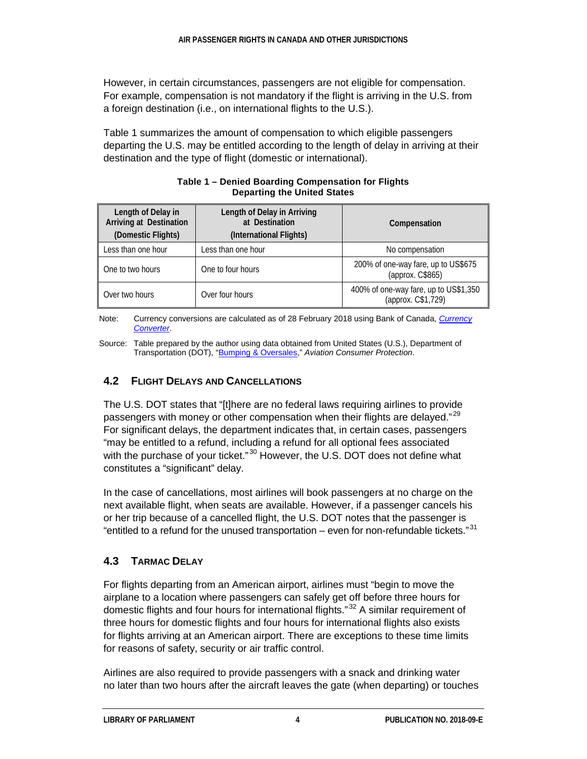However, in certain circumstances, passengers are not eligible for compensation. For example, compensation is not mandatory if the flight is arriving in the U.S. from a foreign destination (i.e., on international flights to the U.S.).

Table 1 summarizes the amount of compensation to which eligible passengers departing the U.S. may be entitled according to the length of delay in arriving at their destination and the type of flight (domestic or international).

| Length of Delay in<br><b>Arriving at Destination</b><br>(Domestic Flights) | Length of Delay in Arriving<br>at Destination<br>(International Flights) | Compensation                                                |  |
|----------------------------------------------------------------------------|--------------------------------------------------------------------------|-------------------------------------------------------------|--|
| Less than one hour                                                         | Less than one hour                                                       | No compensation                                             |  |
| One to two hours                                                           | One to four hours                                                        | 200% of one-way fare, up to US\$675<br>(approx. C\$865)     |  |
| Over two hours                                                             | Over four hours                                                          | 400% of one-way fare, up to US\$1,350<br>(approx. C\$1,729) |  |

#### **Table 1 – Denied Boarding Compensation for Flights Departing the United States**

Note: Currency conversions are calculated as of 28 February 2018 using Bank of Canada, *[Currency](https://www.bankofcanada.ca/rates/exchange/currency-converter/)  [Converter](https://www.bankofcanada.ca/rates/exchange/currency-converter/)*.

Source: Table prepared by the author using data obtained from United States (U.S.), Department of Transportation (DOT), ["Bumping & Oversales,](https://www.transportation.gov/individuals/aviation-consumer-protection/bumping-oversales)" *Aviation Consumer Protection*.

#### **4.2 FLIGHT DELAYS AND CANCELLATIONS**

The U.S. DOT states that "[t]here are no federal laws requiring airlines to provide passengers with money or other compensation when their flights are delayed."<sup>[29](#page-13-11)</sup> For significant delays, the department indicates that, in certain cases, passengers "may be entitled to a refund, including a refund for all optional fees associated with the purchase of your ticket."<sup>[30](#page-13-12)</sup> However, the U.S. DOT does not define what constitutes a "significant" delay.

In the case of cancellations, most airlines will book passengers at no charge on the next available flight, when seats are available. However, if a passenger cancels his or her trip because of a cancelled flight, the U.S. DOT notes that the passenger is "entitled to a refund for the unused transportation – even for non-refundable tickets." $^{31}$  $^{31}$  $^{31}$ 

### **4.3 TARMAC DELAY**

For flights departing from an American airport, airlines must "begin to move the airplane to a location where passengers can safely get off before three hours for domestic flights and four hours for international flights."<sup>[32](#page-13-14)</sup> A similar requirement of three hours for domestic flights and four hours for international flights also exists for flights arriving at an American airport. There are exceptions to these time limits for reasons of safety, security or air traffic control.

Airlines are also required to provide passengers with a snack and drinking water no later than two hours after the aircraft leaves the gate (when departing) or touches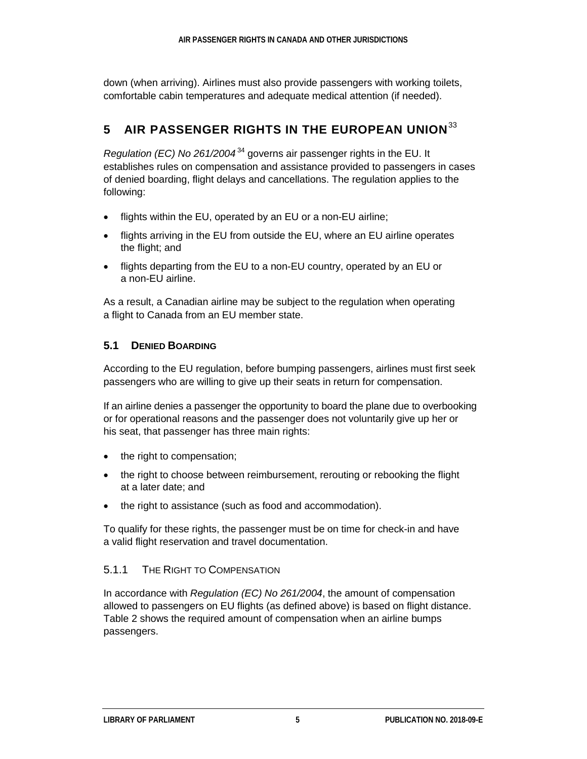down (when arriving). Airlines must also provide passengers with working toilets, comfortable cabin temperatures and adequate medical attention (if needed).

## **5 AIR PASSENGER RIGHTS IN THE EUROPEAN UNION**[33](#page-13-15)

*Regulation (EC) No* 261/2004<sup>[34](#page-13-16)</sup> governs air passenger rights in the EU. It establishes rules on compensation and assistance provided to passengers in cases of denied boarding, flight delays and cancellations. The regulation applies to the following:

- flights within the EU, operated by an EU or a non-EU airline;
- flights arriving in the EU from outside the EU, where an EU airline operates the flight; and
- flights departing from the EU to a non-EU country, operated by an EU or a non-EU airline.

As a result, a Canadian airline may be subject to the regulation when operating a flight to Canada from an EU member state.

#### **5.1 DENIED BOARDING**

According to the EU regulation, before bumping passengers, airlines must first seek passengers who are willing to give up their seats in return for compensation.

If an airline denies a passenger the opportunity to board the plane due to overbooking or for operational reasons and the passenger does not voluntarily give up her or his seat, that passenger has three main rights:

- the right to compensation;
- the right to choose between reimbursement, rerouting or rebooking the flight at a later date; and
- the right to assistance (such as food and accommodation).

To qualify for these rights, the passenger must be on time for check-in and have a valid flight reservation and travel documentation.

#### 5.1.1 THE RIGHT TO COMPENSATION

In accordance with *Regulation (EC) No 261/2004*, the amount of compensation allowed to passengers on EU flights (as defined above) is based on flight distance. Table 2 shows the required amount of compensation when an airline bumps passengers.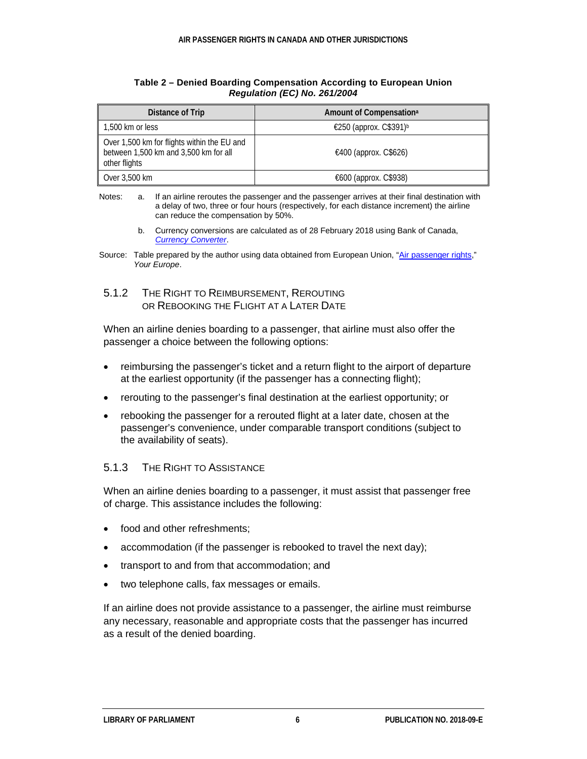| Distance of Trip                                                                                      | Amount of Compensation <sup>a</sup> |
|-------------------------------------------------------------------------------------------------------|-------------------------------------|
| 1,500 km or less                                                                                      | €250 (approx. C\$391) <sup>b</sup>  |
| Over 1,500 km for flights within the EU and<br>between 1,500 km and 3,500 km for all<br>other flights | €400 (approx. C\$626)               |
| Over 3,500 km                                                                                         | €600 (approx. C\$938)               |

#### **Table 2 – Denied Boarding Compensation According to European Union** *Regulation (EC) No. 261/2004*

b. Currency conversions are calculated as of 28 February 2018 using Bank of Canada, *[Currency Converter](https://www.bankofcanada.ca/rates/exchange/currency-converter/)*.

5.1.2 THE RIGHT TO REIMBURSEMENT, REROUTING OR REBOOKING THE FLIGHT AT A LATER DATE

When an airline denies boarding to a passenger, that airline must also offer the passenger a choice between the following options:

- reimbursing the passenger's ticket and a return flight to the airport of departure at the earliest opportunity (if the passenger has a connecting flight);
- rerouting to the passenger's final destination at the earliest opportunity; or
- rebooking the passenger for a rerouted flight at a later date, chosen at the passenger's convenience, under comparable transport conditions (subject to the availability of seats).

#### 5.1.3 THE RIGHT TO ASSISTANCE

When an airline denies boarding to a passenger, it must assist that passenger free of charge. This assistance includes the following:

- food and other refreshments;
- accommodation (if the passenger is rebooked to travel the next day);
- transport to and from that accommodation; and
- two telephone calls, fax messages or emails.

If an airline does not provide assistance to a passenger, the airline must reimburse any necessary, reasonable and appropriate costs that the passenger has incurred as a result of the denied boarding.

Notes: a. If an airline reroutes the passenger and the passenger arrives at their final destination with a delay of two, three or four hours (respectively, for each distance increment) the airline can reduce the compensation by 50%.

Source: Table prepared by the author using data obtained from European Union, ["Air passenger rights,](https://europa.eu/youreurope/citizens/travel/passenger-rights/air/index_en.htm#apr-problems)" *Your Europe*.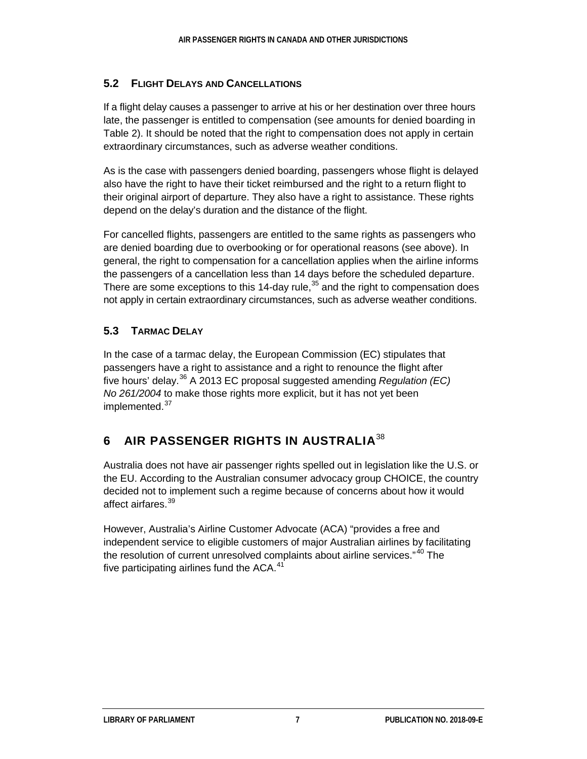#### **5.2 FLIGHT DELAYS AND CANCELLATIONS**

If a flight delay causes a passenger to arrive at his or her destination over three hours late, the passenger is entitled to compensation (see amounts for denied boarding in Table 2). It should be noted that the right to compensation does not apply in certain extraordinary circumstances, such as adverse weather conditions.

As is the case with passengers denied boarding, passengers whose flight is delayed also have the right to have their ticket reimbursed and the right to a return flight to their original airport of departure. They also have a right to assistance. These rights depend on the delay's duration and the distance of the flight.

For cancelled flights, passengers are entitled to the same rights as passengers who are denied boarding due to overbooking or for operational reasons (see above). In general, the right to compensation for a cancellation applies when the airline informs the passengers of a cancellation less than 14 days before the scheduled departure. There are some exceptions to this 14-day rule,  $35$  and the right to compensation does not apply in certain extraordinary circumstances, such as adverse weather conditions.

### **5.3 TARMAC DELAY**

In the case of a tarmac delay, the European Commission (EC) stipulates that passengers have a right to assistance and a right to renounce the flight after five hours' delay.[36](#page-14-1) A 2013 EC proposal suggested amending *Regulation (EC) No 261/2004* to make those rights more explicit, but it has not yet been implemented.<sup>[37](#page-14-2)</sup>

### **6 AIR PASSENGER RIGHTS IN AUSTRALIA**[38](#page-14-3)

Australia does not have air passenger rights spelled out in legislation like the U.S. or the EU. According to the Australian consumer advocacy group CHOICE, the country decided not to implement such a regime because of concerns about how it would affect airfares.<sup>[39](#page-14-4)</sup>

However, Australia's Airline Customer Advocate (ACA) "provides a free and independent service to eligible customers of major Australian airlines by facilitating the resolution of current unresolved complaints about airline services."<sup>[40](#page-14-5)</sup> The five participating airlines fund the  $ACA$ .<sup>[41](#page-14-6)</sup>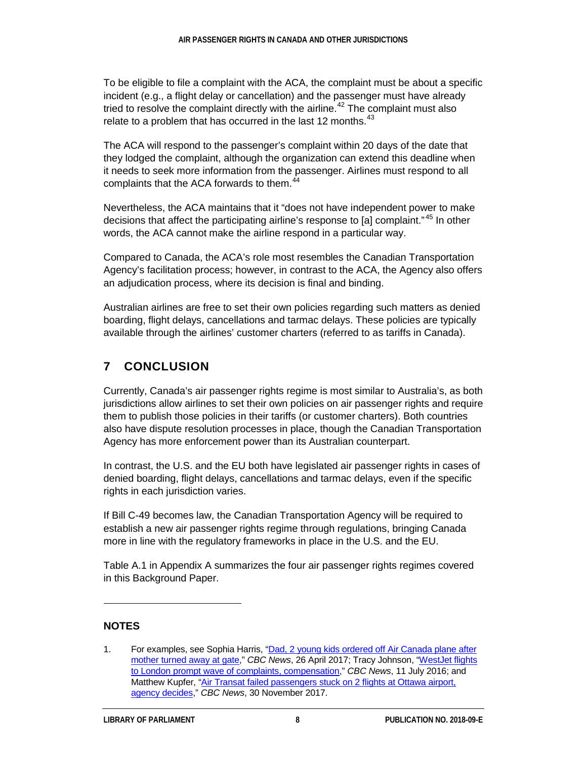To be eligible to file a complaint with the ACA, the complaint must be about a specific incident (e.g., a flight delay or cancellation) and the passenger must have already tried to resolve the complaint directly with the airline.<sup>[42](#page-14-7)</sup> The complaint must also relate to a problem that has occurred in the last 12 months. $43$ 

The ACA will respond to the passenger's complaint within 20 days of the date that they lodged the complaint, although the organization can extend this deadline when it needs to seek more information from the passenger. Airlines must respond to all complaints that the ACA forwards to them.<sup>[44](#page-14-9)</sup>

Nevertheless, the ACA maintains that it "does not have independent power to make decisions that affect the participating airline's response to [a] complaint."<sup>[45](#page-14-10)</sup> In other words, the ACA cannot make the airline respond in a particular way.

Compared to Canada, the ACA's role most resembles the Canadian Transportation Agency's facilitation process; however, in contrast to the ACA, the Agency also offers an adjudication process, where its decision is final and binding.

Australian airlines are free to set their own policies regarding such matters as denied boarding, flight delays, cancellations and tarmac delays. These policies are typically available through the airlines' customer charters (referred to as tariffs in Canada).

### **7 CONCLUSION**

Currently, Canada's air passenger rights regime is most similar to Australia's, as both jurisdictions allow airlines to set their own policies on air passenger rights and require them to publish those policies in their tariffs (or customer charters). Both countries also have dispute resolution processes in place, though the Canadian Transportation Agency has more enforcement power than its Australian counterpart.

In contrast, the U.S. and the EU both have legislated air passenger rights in cases of denied boarding, flight delays, cancellations and tarmac delays, even if the specific rights in each jurisdiction varies.

If Bill C-49 becomes law, the Canadian Transportation Agency will be required to establish a new air passenger rights regime through regulations, bringing Canada more in line with the regulatory frameworks in place in the U.S. and the EU.

Table A.1 in Appendix A summarizes the four air passenger rights regimes covered in this Background Paper.

#### **NOTES**

 $\ddot{ }$ 

<span id="page-11-0"></span><sup>1.</sup> For examples, see Sophia Harris, "Dad, 2 young [kids ordered off Air Canada plane after](http://www.cbc.ca/news/business/air-canada-bumping-flight-1.4083558)  [mother turned away at gate,](http://www.cbc.ca/news/business/air-canada-bumping-flight-1.4083558)" *CBC News*, 26 April 2017; Tracy Johnson, ["WestJet flights](http://www.cbc.ca/news/business/westjet-struggling-gatwick-flights-1.3670418)  [to London prompt wave of complaints, compensation,](http://www.cbc.ca/news/business/westjet-struggling-gatwick-flights-1.3670418)" *CBC News*, 11 July 2016; and Matthew Kupfer, ["Air Transat failed passengers stuck on 2](http://www.cbc.ca/news/canada/ottawa/air-transat-delay-decision-day-1.4426687) flights at Ottawa airport, [agency decides,"](http://www.cbc.ca/news/canada/ottawa/air-transat-delay-decision-day-1.4426687) *CBC News*, 30 November 2017.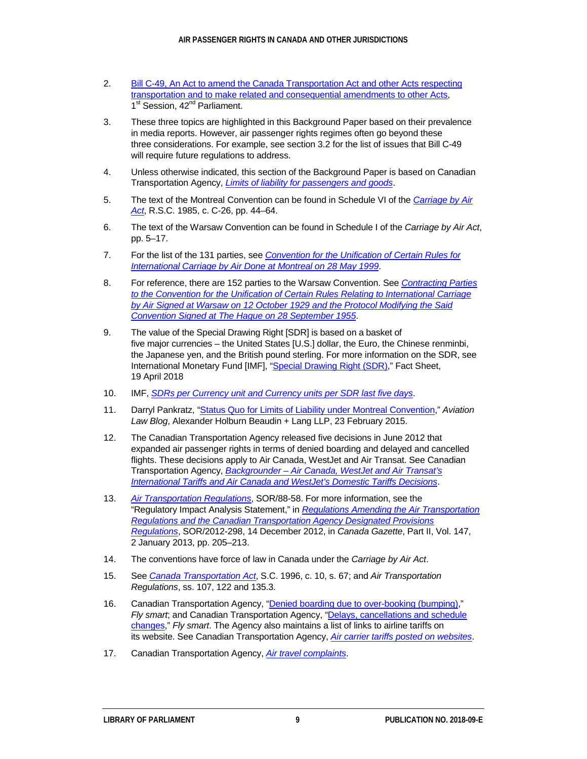- <span id="page-12-0"></span>2. [Bill C-49, An Act to amend the Canada Transportation Act and other Acts respecting](http://www.parl.ca/LegisInfo/BillDetails.aspx?Language=E&billId=8945674)  [transportation and to make related and consequential amendments to other Acts,](http://www.parl.ca/LegisInfo/BillDetails.aspx?Language=E&billId=8945674) 1<sup>st</sup> Session, 42<sup>nd</sup> Parliament.
- <span id="page-12-1"></span>3. These three topics are highlighted in this Background Paper based on their prevalence in media reports. However, air passenger rights regimes often go beyond these three considerations. For example, see section 3.2 for the list of issues that Bill C-49 will require future regulations to address.
- <span id="page-12-2"></span>4. Unless otherwise indicated, this section of the Background Paper is based on Canadian Transportation Agency, *[Limits of liability for passengers and goods](https://otc-cta.gc.ca/eng/limits-liability-passengers-and-goods)*.
- <span id="page-12-3"></span>5. The text of the Montreal Convention can be found in Schedule VI of the *[Carriage by Air](http://laws-lois.justice.gc.ca/PDF/C-26.pdf)  [Act](http://laws-lois.justice.gc.ca/PDF/C-26.pdf)*, R.S.C. 1985, c. C-26, pp. 44–64.
- <span id="page-12-4"></span>6. The text of the Warsaw Convention can be found in Schedule I of the *Carriage by Air Act*, pp. 5–17.
- <span id="page-12-5"></span>7. For the list of the 131 parties, see *[Convention for the Unification of Certain Rules for](https://www.icao.int/secretariat/legal/List%20of%20Parties/Mtl99_EN.pdf)  [International Carriage by Air Done at Montreal on 28 May 1999](https://www.icao.int/secretariat/legal/List%20of%20Parties/Mtl99_EN.pdf)*.
- <span id="page-12-6"></span>8. For reference, there are 152 parties to the Warsaw Convention. See *[Contracting Parties](https://www.icao.int/secretariat/legal/List%20of%20Parties/WC-HP_EN.pdf)  [to the Convention for the Unification of Certain Rules Relating to International Carriage](https://www.icao.int/secretariat/legal/List%20of%20Parties/WC-HP_EN.pdf)  [by Air Signed at Warsaw on 12 October 1929 and the Protocol Modifying the Said](https://www.icao.int/secretariat/legal/List%20of%20Parties/WC-HP_EN.pdf)  [Convention Signed at The Hague on 28 September 1955](https://www.icao.int/secretariat/legal/List%20of%20Parties/WC-HP_EN.pdf)*.
- <span id="page-12-7"></span>9. The value of the Special Drawing Right [SDR] is based on a basket of five major currencies – the United States [U.S.] dollar, the Euro, the Chinese renminbi, the Japanese yen, and the British pound sterling. For more information on the SDR, see International Monetary Fund [IMF], ["Special Drawing Right \(SDR\),"](http://www.imf.org/en/About/Factsheets/Sheets/2016/08/01/14/51/Special-Drawing-Right-SDR) Fact Sheet, 19 April 2018
- <span id="page-12-8"></span>10. IMF, *[SDRs per Currency unit and Currency units per SDR last five](https://www.imf.org/external/np/fin/data/rms_five.aspx) days*.
- <span id="page-12-9"></span>11. Darryl Pankratz, ["Status Quo for Limits of Liability under Montreal](http://aviationlawblog.ahbl.ca/2015/02/23/status-quo-for-limits-of-liability-under-montreal-convention/) Convention," *Aviation Law Blog*, Alexander Holburn Beaudin + Lang LLP, 23 February 2015.
- <span id="page-12-10"></span>12. The Canadian Transportation Agency released five decisions in June 2012 that expanded air passenger rights in terms of denied boarding and delayed and cancelled flights. These decisions apply to Air Canada, WestJet and Air Transat. See Canadian Transportation Agency, *Backgrounder – [Air Canada, WestJet and Air Transat's](https://www.otc-cta.gc.ca/eng/publication/backgrounder-air-canada-westjet-and-air-transats-international-tariffs-and-air-canada)  [International Tariffs and Air Canada and WestJet's Domestic Tariffs Decisions](https://www.otc-cta.gc.ca/eng/publication/backgrounder-air-canada-westjet-and-air-transats-international-tariffs-and-air-canada)*.
- <span id="page-12-11"></span>13. *[Air Transportation Regulations](http://laws-lois.justice.gc.ca/eng/regulations/SOR-88-58/FullText.html)*, SOR/88-58. For more information, see the "Regulatory Impact Analysis Statement," in *[Regulations Amending the Air Transportation](http://www.gazette.gc.ca/rp-pr/p2/2013/2013-01-02/html/sor-dors298-eng.html)  [Regulations and the Canadian Transportation Agency Designated Provisions](http://www.gazette.gc.ca/rp-pr/p2/2013/2013-01-02/html/sor-dors298-eng.html)  [Regulations](http://www.gazette.gc.ca/rp-pr/p2/2013/2013-01-02/html/sor-dors298-eng.html)*, SOR/2012-298, 14 December 2012, in *Canada Gazette*, Part II, Vol. 147, 2 January 2013, pp. 205–213.
- <span id="page-12-12"></span>14. The conventions have force of law in Canada under the *Carriage by Air Act*.
- <span id="page-12-13"></span>15. See *[Canada Transportation Act](http://laws-lois.justice.gc.ca/eng/acts/C-10.4/index.html)*, S.C. 1996, c. 10, s. 67; and *Air Transportation Regulations*, ss. 107, 122 and 135.3.
- <span id="page-12-14"></span>16. Canadian Transportation Agency, ["Denied boarding due to over-booking \(bumping\),](https://otc-cta.gc.ca/eng/publication/denied-boarding-due-over-booking-bumping)" *Fly smart*; and Canadian Transportation Agency, ["Delays, cancellations and schedule](https://otc-cta.gc.ca/eng/publication/delays-cancellations-and-schedule-changes)  [changes,](https://otc-cta.gc.ca/eng/publication/delays-cancellations-and-schedule-changes)" *Fly smart*. The Agency also maintains a list of links to airline tariffs on its website. See Canadian Transportation Agency, *[Air carrier tariffs posted on](https://otc-cta.gc.ca/eng/air-carrier-tariffs-posted-websites) websites*.
- <span id="page-12-15"></span>17. Canadian Transportation Agency, *[Air travel complaints](https://www.otc-cta.gc.ca/eng/air-travel-complaints)*.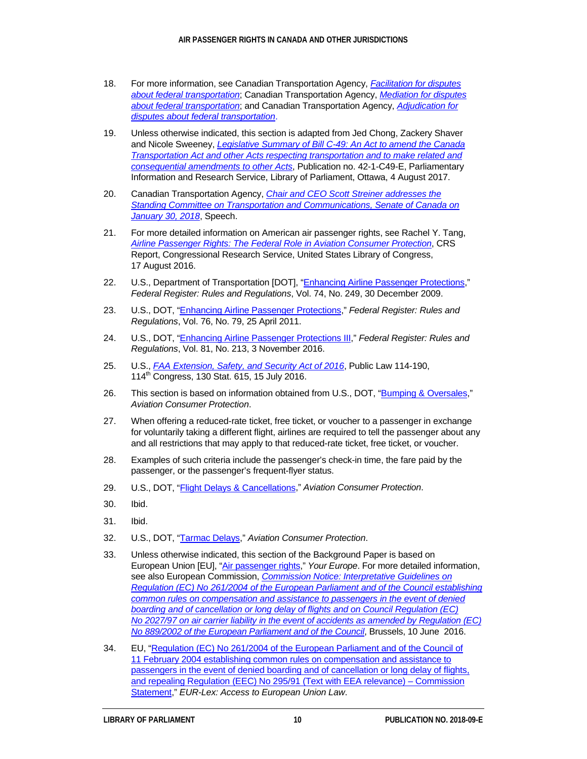- <span id="page-13-0"></span>18. For more information, see Canadian Transportation Agency, *[Facilitation for disputes](https://www.otc-cta.gc.ca/eng/facilitation-disputes-about-federal-transportation)  [about federal transportation](https://www.otc-cta.gc.ca/eng/facilitation-disputes-about-federal-transportation)*; Canadian Transportation Agency, *[Mediation for disputes](https://www.otc-cta.gc.ca/eng/mediation-disputes-about-federal-transportation)  [about federal transportation](https://www.otc-cta.gc.ca/eng/mediation-disputes-about-federal-transportation)*; and Canadian Transportation Agency, *[Adjudication for](https://www.otc-cta.gc.ca/eng/adjudication-disputes-about-federal-transportation)  [disputes about federal transportation](https://www.otc-cta.gc.ca/eng/adjudication-disputes-about-federal-transportation)*.
- <span id="page-13-1"></span>19. Unless otherwise indicated, this section is adapted from Jed Chong, Zackery Shaver and Nicole Sweeney, *Legislative Summary of Bill [C-49: An Act to amend the Canada](https://lop.parl.ca/About/Parliament/LegislativeSummaries/bills_ls.asp?Language=E&ls=c49&Parl=42&Ses=1&source=library_prb)  [Transportation Act and other Acts respecting transportation and to make related and](https://lop.parl.ca/About/Parliament/LegislativeSummaries/bills_ls.asp?Language=E&ls=c49&Parl=42&Ses=1&source=library_prb)  [consequential amendments to other Acts](https://lop.parl.ca/About/Parliament/LegislativeSummaries/bills_ls.asp?Language=E&ls=c49&Parl=42&Ses=1&source=library_prb)*, Publication no. 42-1-C49-E, Parliamentary Information and Research Service, Library of Parliament, Ottawa, 4 August 2017.
- <span id="page-13-2"></span>20. Canadian Transportation Agency, *[Chair and CEO Scott Streiner addresses the](https://otc-cta.gc.ca/eng/content/chair-and-ceo-scott-streiner-addresses-standing-committee-transportation-and-communications-senate-of-canada-january-30-2018)  Standing [Committee on Transportation and Communications, Senate of Canada on](https://otc-cta.gc.ca/eng/content/chair-and-ceo-scott-streiner-addresses-standing-committee-transportation-and-communications-senate-of-canada-january-30-2018)  [January](https://otc-cta.gc.ca/eng/content/chair-and-ceo-scott-streiner-addresses-standing-committee-transportation-and-communications-senate-of-canada-january-30-2018) 30, 2018*, Speech.
- <span id="page-13-3"></span>21. For more detailed information on American air passenger rights, see Rachel Y. Tang, *[Airline Passenger Rights: The Federal Role in Aviation Consumer Protection](https://fas.org/sgp/crs/misc/R43078.pdf)*, CRS Report, Congressional Research Service, United States Library of Congress, 17 August 2016.
- <span id="page-13-4"></span>22. U.S., Department of Transportation [DOT], ["Enhancing Airline Passenger Protections,](https://www.transportation.gov/sites/dot.gov/files/docs/Final_Rule_on_Enhancing_Airline_Passenger_Protections.pdf)" *Federal Register: Rules and Regulations*, Vol. 74, No. 249, 30 December 2009.
- <span id="page-13-5"></span>23. U.S., DOT, ["Enhancing Airline Passenger Protections,](https://www.gpo.gov/fdsys/pkg/FR-2011-04-25/pdf/2011-9736.pdf)" *Federal Register: Rules and Regulations*, Vol. 76, No. 79, 25 April 2011.
- <span id="page-13-6"></span>24. U.S., DOT, ["Enhancing Airline Passenger Protections III,"](https://www.transportation.gov/sites/dot.gov/files/docs/2016-26178%20FR%20EAPP%20III%20final%20rule.pdf) *Federal Register: Rules and Regulations*, Vol. 81, No. 213, 3 November 2016.
- <span id="page-13-7"></span>25. U.S., *[FAA Extension, Safety, and Security Act of 2016](https://www.congress.gov/114/plaws/publ190/PLAW-114publ190.pdf)*, Public Law 114-190, 114<sup>th</sup> Congress, 130 Stat. 615, 15 July 2016.
- <span id="page-13-8"></span>26. This section is based on information obtained from U.S., DOT, ["Bumping & Oversales,](https://www.transportation.gov/individuals/aviation-consumer-protection/bumping-oversales)" *Aviation Consumer Protection*.
- <span id="page-13-9"></span>27. When offering a reduced-rate ticket, free ticket, or voucher to a passenger in exchange for voluntarily taking a different flight, airlines are required to tell the passenger about any and all restrictions that may apply to that reduced-rate ticket, free ticket, or voucher.
- <span id="page-13-10"></span>28. Examples of such criteria include the passenger's check-in time, the fare paid by the passenger, or the passenger's frequent-flyer status.
- <span id="page-13-11"></span>29. U.S., DOT, "Flight Delays & [Cancellations,](https://www.transportation.gov/individuals/aviation-consumer-protection/flight-delays-cancellations)" *Aviation Consumer Protection*.
- <span id="page-13-12"></span>30. Ibid.
- <span id="page-13-13"></span>31. Ibid.
- <span id="page-13-14"></span>32. U.S., DOT, ["Tarmac Delays,"](https://www.transportation.gov/individuals/aviation-consumer-protection/tarmac-delays) *Aviation Consumer Protection*.
- <span id="page-13-15"></span>33. Unless otherwise indicated, this section of the Background Paper is based on European Union [EU], ["Air passenger rights,](https://europa.eu/youreurope/citizens/travel/passenger-rights/air/index_en.htm#apr-problems)" *Your Europe*. For more detailed information, see also European Commission, *[Commission Notice: Interpretative Guidelines on](https://ec.europa.eu/transport/sites/transport/files/themes/passengers/news/doc/2016-06-10-better-enforcement-pax-rights/c(2016)3502_en.pdf)  Regulation (EC) No [261/2004 of the European Parliament and of the Council establishing](https://ec.europa.eu/transport/sites/transport/files/themes/passengers/news/doc/2016-06-10-better-enforcement-pax-rights/c(2016)3502_en.pdf)  [common rules on compensation and assistance to passengers in the](https://ec.europa.eu/transport/sites/transport/files/themes/passengers/news/doc/2016-06-10-better-enforcement-pax-rights/c(2016)3502_en.pdf) event of denied [boarding and of cancellation or long delay of flights and on Council Regulation \(EC\)](https://ec.europa.eu/transport/sites/transport/files/themes/passengers/news/doc/2016-06-10-better-enforcement-pax-rights/c(2016)3502_en.pdf)  No [2027/97 on air carrier liability in the event of accidents as amended by Regulation \(EC\)](https://ec.europa.eu/transport/sites/transport/files/themes/passengers/news/doc/2016-06-10-better-enforcement-pax-rights/c(2016)3502_en.pdf)  No [889/2002 of the European Parliament and of the Council](https://ec.europa.eu/transport/sites/transport/files/themes/passengers/news/doc/2016-06-10-better-enforcement-pax-rights/c(2016)3502_en.pdf)*, Brussels, 10 June 2016.
- <span id="page-13-16"></span>34. EU, ["Regulation \(EC\) No 261/2004 of the European Parliament and of the Council of](http://eur-lex.europa.eu/legal-content/EN/TXT/?uri=uriserv:OJ.L_.2004.046.01.0001.01.ENG&toc=OJ:L:2004:046:TOC)  11 February 2004 establishing common rules on compensation and assistance to [passengers in the event of denied boarding and of cancellation or long delay of flights,](http://eur-lex.europa.eu/legal-content/EN/TXT/?uri=uriserv:OJ.L_.2004.046.01.0001.01.ENG&toc=OJ:L:2004:046:TOC)  [and repealing Regulation \(EEC\) No 295/91 \(Text with EEA relevance\) –](http://eur-lex.europa.eu/legal-content/EN/TXT/?uri=uriserv:OJ.L_.2004.046.01.0001.01.ENG&toc=OJ:L:2004:046:TOC) Commission [Statement,](http://eur-lex.europa.eu/legal-content/EN/TXT/?uri=uriserv:OJ.L_.2004.046.01.0001.01.ENG&toc=OJ:L:2004:046:TOC)" *EUR-Lex: Access to European Union Law*.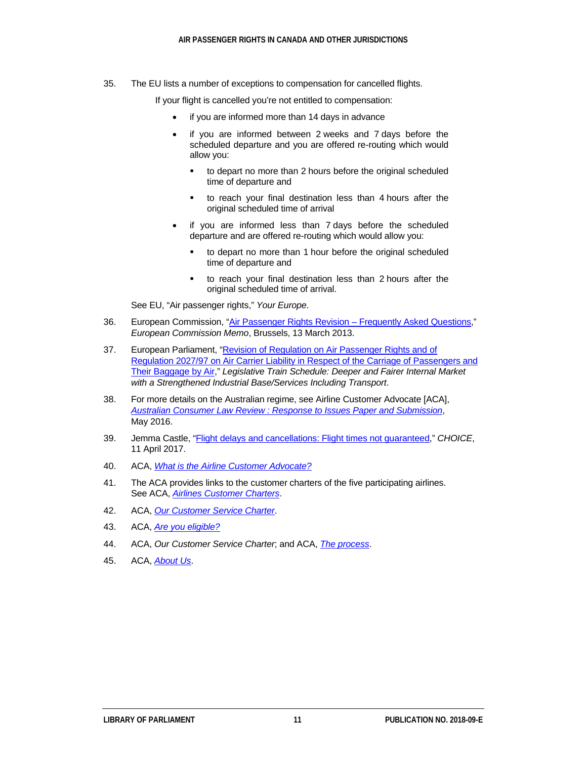<span id="page-14-0"></span>35. The EU lists a number of exceptions to compensation for cancelled flights.

If your flight is cancelled you're not entitled to compensation:

- if you are informed more than 14 days in advance
- if you are informed between 2 weeks and 7 days before the scheduled departure and you are offered re-routing which would allow you:
	- to depart no more than 2 hours before the original scheduled time of departure and
	- to reach your final destination less than 4 hours after the original scheduled time of arrival
- if you are informed less than 7 days before the scheduled departure and are offered re-routing which would allow you:
	- to depart no more than 1 hour before the original scheduled time of departure and
	- to reach your final destination less than 2 hours after the original scheduled time of arrival.

See EU, "Air passenger rights," *Your Europe*.

- <span id="page-14-1"></span>36. European Commission, ["Air Passenger Rights Revision](http://europa.eu/rapid/press-release_MEMO-13-203_en.htm) – Frequently Asked Questions," *European Commission Memo*, Brussels, 13 March 2013.
- <span id="page-14-2"></span>37. European Parliament, ["Revision of Regulation on Air Passenger Rights and of](http://www.europarl.europa.eu/legislative-train/theme-deeper-and-fairer-internal-market-with-a-strengthened-industrial-base-services-including-transport/file-common-rules-on-compensation-to-passengers)  Regulation [2027/97 on Air Carrier Liability in Respect of the Carriage of Passengers and](http://www.europarl.europa.eu/legislative-train/theme-deeper-and-fairer-internal-market-with-a-strengthened-industrial-base-services-including-transport/file-common-rules-on-compensation-to-passengers)  [Their Baggage by Air,](http://www.europarl.europa.eu/legislative-train/theme-deeper-and-fairer-internal-market-with-a-strengthened-industrial-base-services-including-transport/file-common-rules-on-compensation-to-passengers)" *Legislative Train Schedule: Deeper and Fairer Internal Market with a Strengthened Industrial Base/Services Including Transport*.
- <span id="page-14-3"></span>38. For more details on the Australian regime, see Airline Customer Advocate [ACA], *Australian Consumer Law Review : [Response to Issues Paper and Submission](https://cdn.tspace.gov.au/uploads/sites/60/2016/07/Airline_Customer_Advocate.pdf)*, May 2016.
- <span id="page-14-4"></span>39. Jemma Castle, ["Flight delays and cancellations: Flight times not guaranteed,](https://www.choice.com.au/travel/on-holidays/airlines/articles/flight-delays-and-cancellations-compensation)" *CHOICE*, 11 April 2017.
- <span id="page-14-5"></span>40. ACA, *[What is the Airline Customer Advocate?](http://www.airlinecustomeradvocate.com.au/General/Default.aspx)*
- <span id="page-14-6"></span>41. The ACA provides links to the customer charters of the five participating airlines. See ACA, *[Airlines Customer Charters](http://www.airlinecustomeradvocate.com.au/General/AirlinesCustomerCharter.aspx)*.
- <span id="page-14-7"></span>42. ACA, *[Our Customer Service Charter](http://www.airlinecustomeradvocate.com.au/General/ACACustomerCharter.aspx)*.
- <span id="page-14-8"></span>43. ACA, *[Are you eligible?](http://www.airlinecustomeradvocate.com.au/General/Eligibility.aspx)*
- <span id="page-14-9"></span>44. ACA, *Our Customer Service Charter*; and ACA, *[The process](http://www.airlinecustomeradvocate.com.au/General/TheProcess.aspx)*.
- <span id="page-14-10"></span>45. ACA, *[About Us](http://www.airlinecustomeradvocate.com.au/General/AboutUs.aspx)*.